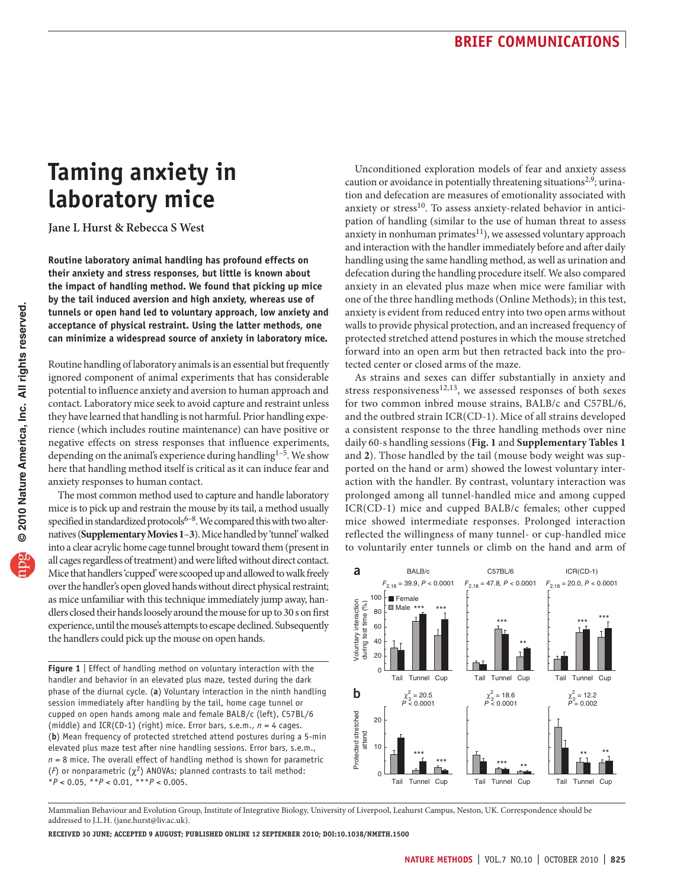# **Taming anxiety in laboratory mice**

**Jane L Hurst & Rebecca S West**

**Routine laboratory animal handling has profound effects on their anxiety and stress responses, but little is known about the impact of handling method. We found that picking up mice by the tail induced aversion and high anxiety, whereas use of tunnels or open hand led to voluntary approach, low anxiety and acceptance of physical restraint. Using the latter methods, one can minimize a widespread source of anxiety in laboratory mice.**

Routine handling of laboratory animals is an essential but frequently ignored component of animal experiments that has considerable potential to influence anxiety and aversion to human approach and contact. Laboratory mice seek to avoid capture and restraint unless they have learned that handling is not harmful. Prior handling experience (which includes routine maintenance) can have positive or negative effects on stress responses that influence experiments, depending on the animal's experience during handling<sup>1-5</sup>. We show here that handling method itself is critical as it can induce fear and anxiety responses to human contact.

The most common method used to capture and handle laboratory mice is to pick up and restrain the mouse by its tail, a method usually specified in standardized protocols<sup>6–8</sup>. We compared this with two alternatives (**Supplementary Movies 1**–**3**). Mice handled by 'tunnel' walked into a clear acrylic home cage tunnel brought toward them (present in all cages regardless of treatment) and were lifted without direct contact. Mice that handlers 'cupped' were scooped up and allowed to walk freely over the handler's open gloved hands without direct physical restraint; as mice unfamiliar with this technique immediately jump away, handlers closed their hands loosely around the mouse for up to 30 s on first experience, until the mouse's attempts to escape declined. Subsequently the handlers could pick up the mouse on open hands.

<span id="page-0-0"></span>**Figure 1** | Effect of handling method on voluntary interaction with the handler and behavior in an elevated plus maze, tested during the dark phase of the diurnal cycle. (**a**) Voluntary interaction in the ninth handling session immediately after handling by the tail, home cage tunnel or cupped on open hands among male and female BALB/c (left), C57BL/6 (middle) and ICR(CD-1) (right) mice. Error bars, s.e.m., *n* = 4 cages. (**b**) Mean frequency of protected stretched attend postures during a 5-min elevated plus maze test after nine handling sessions. Error bars, s.e.m., *n* = 8 mice. The overall effect of handling method is shown for parametric (*F*) or nonparametric ( $\chi^2$ ) ANOVAs; planned contrasts to tail method: \**P* < 0.05, \*\**P* < 0.01, \*\*\**P* < 0.005.

Unconditioned exploration models of fear and anxiety assess caution or avoidance in potentially threatening situations<sup>2,9</sup>; urination and defecation are measures of emotionality associated with anxiety or stress<sup>10</sup>. To assess anxiety-related behavior in anticipation of handling (similar to the use of human threat to assess anxiety in nonhuman primates $11$ ), we assessed voluntary approach and interaction with the handler immediately before and after daily handling using the same handling method, as well as urination and defecation during the handling procedure itself. We also compared anxiety in an elevated plus maze when mice were familiar with one of the three handling methods (Online Methods); in this test, anxiety is evident from reduced entry into two open arms without walls to provide physical protection, and an increased frequency of protected stretched attend postures in which the mouse stretched forward into an open arm but then retracted back into the protected center or closed arms of the maze.

As strains and sexes can differ substantially in anxiety and stress responsiveness $12,13$ , we assessed responses of both sexes for two common inbred mouse strains, BALB/c and C57BL/6, and the outbred strain ICR(CD-1). Mice of all strains developed a consistent response to the three handling methods over nine daily 60-s handling sessions (**[Fig. 1](#page-0-0)** and **Supplementary Tables 1**  and **2**). Those handled by the tail (mouse body weight was supported on the hand or arm) showed the lowest voluntary interaction with the handler. By contrast, voluntary interaction was prolonged among all tunnel-handled mice and among cupped ICR(CD-1) mice and cupped BALB/c females; other cupped mice showed intermediate responses. Prolonged interaction reflected the willingness of many tunnel- or cup-handled mice to voluntarily enter tunnels or climb on the hand and arm of



Mammalian Behaviour and Evolution Group, Institute of Integrative Biology, University of Liverpool, Leahurst Campus, Neston, UK. Correspondence should be addressed to J.L.H. (jane.hurst@liv.ac.uk).

**Received 30 June; accepted 9 August; published online 12 september 2010; [doi:10.1038/nmeth.1500](http://www.nature.com/doifinder/10.1038/nmeth.1500)**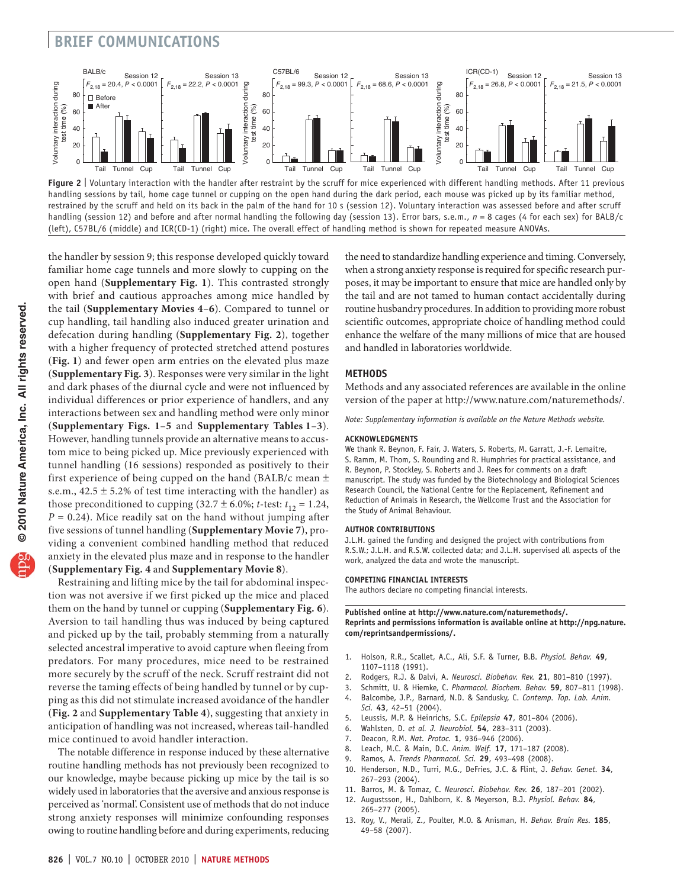## **brief communications**



<span id="page-1-2"></span>handling sessions by tail, home cage tunnel or cupping on the open hand during the dark period, each mouse was picked up by its familiar method, restrained by the scruff and held on its back in the palm of the hand for 10 s (session 12). Voluntary interaction was assessed before and after scruff handling (session 12) and before and after normal handling the following day (session 13). Error bars, s.e.m., *n* = 8 cages (4 for each sex) for BALB/c (left), C57BL/6 (middle) and ICR(CD-1) (right) mice. The overall effect of handling method is shown for repeated measure ANOVAs.

the handler by session 9; this response developed quickly toward familiar home cage tunnels and more slowly to cupping on the open hand (**Supplementary Fig. 1**). This contrasted strongly with brief and cautious approaches among mice handled by the tail (**Supplementary Movies 4**–**6**). Compared to tunnel or cup handling, tail handling also induced greater urination and defecation during handling (**Supplementary Fig. 2**), together with a higher frequency of protected stretched attend postures (**[Fig.](#page-0-0) 1**) and fewer open arm entries on the elevated plus maze (**Supplementary Fig. 3**). Responses were very similar in the light and dark phases of the diurnal cycle and were not influenced by individual differences or prior experience of handlers, and any interactions between sex and handling method were only minor (**Supplementary Figs. 1**–**5** and **Supplementary Tables 1**–**3**). However, handling tunnels provide an alternative means to accustom mice to being picked up. Mice previously experienced with tunnel handling (16 sessions) responded as positively to their first experience of being cupped on the hand (BALB/c mean ± s.e.m.,  $42.5 \pm 5.2\%$  of test time interacting with the handler) as those preconditioned to cupping  $(32.7 \pm 6.0\%)$ ; *t*-test:  $t_{12} = 1.24$ ,  $P = 0.24$ ). Mice readily sat on the hand without jumping after five sessions of tunnel handling (**Supplementary Movie 7**), providing a convenient combined handling method that reduced anxiety in the elevated plus maze and in response to the handler

## (**Supplementary Fig. 4** and **Supplementary Movie 8**).

Restraining and lifting mice by the tail for abdominal inspection was not aversive if we first picked up the mice and placed them on the hand by tunnel or cupping (**Supplementary Fig. 6**). Aversion to tail handling thus was induced by being captured and picked up by the tail, probably stemming from a naturally selected ancestral imperative to avoid capture when fleeing from predators. For many procedures, mice need to be restrained more securely by the scruff of the neck. Scruff restraint did not reverse the taming effects of being handled by tunnel or by cupping as this did not stimulate increased avoidance of the handler (**[Fig. 2](#page-1-2)** and **Supplementary Table 4**), suggesting that anxiety in anticipation of handling was not increased, whereas tail-handled mice continued to avoid handler interaction.

The notable difference in response induced by these alternative routine handling methods has not previously been recognized to our knowledge, maybe because picking up mice by the tail is so widely used in laboratories that the aversive and anxious response is perceived as 'normal'. Consistent use of methods that do not induce strong anxiety responses will minimize confounding responses owing to routine handling before and during experiments, reducing

the need to standardize handling experience and timing. Conversely, when a strong anxiety response is required for specific research purposes, it may be important to ensure that mice are handled only by the tail and are not tamed to human contact accidentally during routine husbandry procedures. In addition to providing more robust scientific outcomes, appropriate choice of handling method could enhance the welfare of the many millions of mice that are housed and handled in laboratories worldwide.

## **Methods**

Methods and any associated references are available in the online version of the paper at http://www.nature.com/naturemethods/.

*Note: Supplementary information is available on the Nature [Methods](http://www.nature.com/naturemethods/) website.*

#### **Acknowledgments**

We thank R. Beynon, F. Fair, J. Waters, S. Roberts, M. Garratt, J.-F. Lemaitre, S. Ramm, M. Thom, S. Rounding and R. Humphries for practical assistance, and R. Beynon, P. Stockley, S. Roberts and J. Rees for comments on a draft manuscript. The study was funded by the Biotechnology and Biological Sciences Research Council, the National Centre for the Replacement, Refinement and Reduction of Animals in Research, the Wellcome Trust and the Association for the Study of Animal Behaviour.

#### **AUTHOR CONTRIBUTIONS**

J.L.H. gained the funding and designed the project with contributions from R.S.W.; J.L.H. and R.S.W. collected data; and J.L.H. supervised all aspects of the work, analyzed the data and wrote the manuscript.

#### **COMPETING FINANCIAL INTERESTS**

The authors declare no competing financial interests.

**Published online at http://www.nature.com/naturemethods/. Reprints and permissions information is available online at http://npg.nature. com/reprintsandpermissions/.**

- 1. Holson, R.R., Scallet, A.C., Ali, S.F. & Turner, B.B. *Physiol. Behav.* **49**, 1107–1118 (1991).
- 2. Rodgers, R.J. & Dalvi, A. *Neurosci. Biobehav. Rev.* **21**, 801–810 (1997).
- 3. Schmitt, U. & Hiemke, C. *Pharmacol. Biochem. Behav.* **59**, 807–811 (1998).
- 4. Balcombe, J.P., Barnard, N.D. & Sandusky, C. *Contemp. Top. Lab. Anim. Sci.* **43**, 42–51 (2004).
- 5. Leussis, M.P. & Heinrichs, S.C. *Epilepsia* **47**, 801–804 (2006).
- 6. Wahlsten, D. *et al. J. Neurobiol.* **54**, 283–311 (2003).
- 7. Deacon, R.M. *Nat. Protoc.* **1**, 936–946 (2006).
- 8. Leach, M.C. & Main, D.C. *Anim. Welf.* **17**, 171–187 (2008).
- 9. Ramos, A. *Trends Pharmacol. Sci.* **29**, 493–498 (2008).
- <span id="page-1-0"></span>10. Henderson, N.D., Turri, M.G., DeFries, J.C. & Flint, J. *Behav. Genet.* **34**, 267–293 (2004).
- <span id="page-1-1"></span>11. Barros, M. & Tomaz, C. *Neurosci. Biobehav. Rev.* **26**, 187–201 (2002).
- 12. Augustsson, H., Dahlborn, K. & Meyerson, B.J. *Physiol. Behav.* **84**, 265–277 (2005).
- 13. Roy, V., Merali, Z., Poulter, M.O. & Anisman, H. *Behav. Brain Res.* **185**, 49–58 (2007).

#### **826** | VOL.7 NO.10 | OCTOBER 2010 | **nature methods**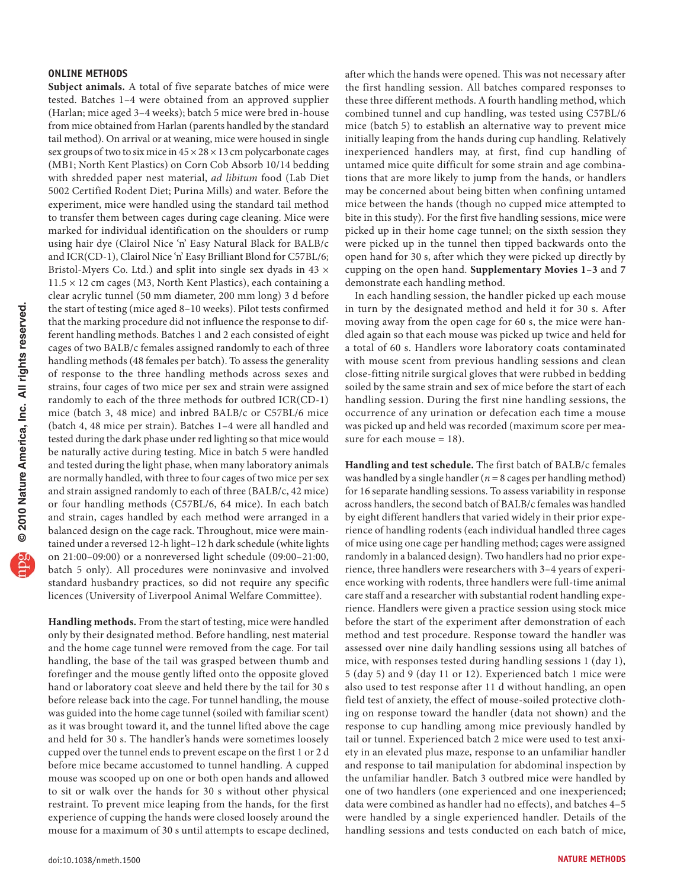### **ONLINE METHODS**

**Subject animals.** A total of five separate batches of mice were tested. Batches 1–4 were obtained from an approved supplier (Harlan; mice aged 3–4 weeks); batch 5 mice were bred in-house from mice obtained from Harlan (parents handled by the standard tail method). On arrival or at weaning, mice were housed in single sex groups of two to six mice in  $45 \times 28 \times 13$  cm polycarbonate cages (MB1; North Kent Plastics) on Corn Cob Absorb 10/14 bedding with shredded paper nest material, *ad libitum* food (Lab Diet 5002 Certified Rodent Diet; Purina Mills) and water. Before the experiment, mice were handled using the standard tail method to transfer them between cages during cage cleaning. Mice were marked for individual identification on the shoulders or rump using hair dye (Clairol Nice 'n' Easy Natural Black for BALB/c and ICR(CD-1), Clairol Nice 'n' Easy Brilliant Blond for C57BL/6; Bristol-Myers Co. Ltd.) and split into single sex dyads in 43 ×  $11.5 \times 12$  cm cages (M3, North Kent Plastics), each containing a clear acrylic tunnel (50 mm diameter, 200 mm long) 3 d before the start of testing (mice aged 8–10 weeks). Pilot tests confirmed that the marking procedure did not influence the response to different handling methods. Batches 1 and 2 each consisted of eight cages of two BALB/c females assigned randomly to each of three handling methods (48 females per batch). To assess the generality of response to the three handling methods across sexes and strains, four cages of two mice per sex and strain were assigned randomly to each of the three methods for outbred ICR(CD-1) mice (batch 3, 48 mice) and inbred BALB/c or C57BL/6 mice (batch 4, 48 mice per strain). Batches 1–4 were all handled and tested during the dark phase under red lighting so that mice would be naturally active during testing. Mice in batch 5 were handled and tested during the light phase, when many laboratory animals are normally handled, with three to four cages of two mice per sex and strain assigned randomly to each of three (BALB/c, 42 mice) or four handling methods (C57BL/6, 64 mice). In each batch and strain, cages handled by each method were arranged in a balanced design on the cage rack. Throughout, mice were maintained under a reversed 12-h light–12 h dark schedule (white lights on 21:00–09:00) or a nonreversed light schedule (09:00–21:00, batch 5 only). All procedures were noninvasive and involved standard husbandry practices, so did not require any specific licences (University of Liverpool Animal Welfare Committee).

**Handling methods.** From the start of testing, mice were handled only by their designated method. Before handling, nest material and the home cage tunnel were removed from the cage. For tail handling, the base of the tail was grasped between thumb and forefinger and the mouse gently lifted onto the opposite gloved hand or laboratory coat sleeve and held there by the tail for 30 s before release back into the cage. For tunnel handling, the mouse was guided into the home cage tunnel (soiled with familiar scent) as it was brought toward it, and the tunnel lifted above the cage and held for 30 s. The handler's hands were sometimes loosely cupped over the tunnel ends to prevent escape on the first 1 or 2 d before mice became accustomed to tunnel handling. A cupped mouse was scooped up on one or both open hands and allowed to sit or walk over the hands for 30 s without other physical restraint. To prevent mice leaping from the hands, for the first experience of cupping the hands were closed loosely around the mouse for a maximum of 30 s until attempts to escape declined,

after which the hands were opened. This was not necessary after the first handling session. All batches compared responses to these three different methods. A fourth handling method, which combined tunnel and cup handling, was tested using C57BL/6 mice (batch 5) to establish an alternative way to prevent mice initially leaping from the hands during cup handling. Relatively inexperienced handlers may, at first, find cup handling of untamed mice quite difficult for some strain and age combinations that are more likely to jump from the hands, or handlers may be concerned about being bitten when confining untamed mice between the hands (though no cupped mice attempted to bite in this study). For the first five handling sessions, mice were picked up in their home cage tunnel; on the sixth session they were picked up in the tunnel then tipped backwards onto the open hand for 30 s, after which they were picked up directly by cupping on the open hand. **Supplementary Movies 1–3** and **7** demonstrate each handling method.

In each handling session, the handler picked up each mouse in turn by the designated method and held it for 30 s. After moving away from the open cage for 60 s, the mice were handled again so that each mouse was picked up twice and held for a total of 60 s. Handlers wore laboratory coats contaminated with mouse scent from previous handling sessions and clean close-fitting nitrile surgical gloves that were rubbed in bedding soiled by the same strain and sex of mice before the start of each handling session. During the first nine handling sessions, the occurrence of any urination or defecation each time a mouse was picked up and held was recorded (maximum score per measure for each mouse  $= 18$ ).

**Handling and test schedule.** The first batch of BALB/c females was handled by a single handler (*n* = 8 cages per handling method) for 16 separate handling sessions. To assess variability in response across handlers, the second batch of BALB/c females was handled by eight different handlers that varied widely in their prior experience of handling rodents (each individual handled three cages of mice using one cage per handling method; cages were assigned randomly in a balanced design). Two handlers had no prior experience, three handlers were researchers with 3–4 years of experience working with rodents, three handlers were full-time animal care staff and a researcher with substantial rodent handling experience. Handlers were given a practice session using stock mice before the start of the experiment after demonstration of each method and test procedure. Response toward the handler was assessed over nine daily handling sessions using all batches of mice, with responses tested during handling sessions 1 (day 1), 5 (day 5) and 9 (day 11 or 12). Experienced batch 1 mice were also used to test response after 11 d without handling, an open field test of anxiety, the effect of mouse-soiled protective clothing on response toward the handler (data not shown) and the response to cup handling among mice previously handled by tail or tunnel. Experienced batch 2 mice were used to test anxiety in an elevated plus maze, response to an unfamiliar handler and response to tail manipulation for abdominal inspection by the unfamiliar handler. Batch 3 outbred mice were handled by one of two handlers (one experienced and one inexperienced; data were combined as handler had no effects), and batches 4–5 were handled by a single experienced handler. Details of the handling sessions and tests conducted on each batch of mice,